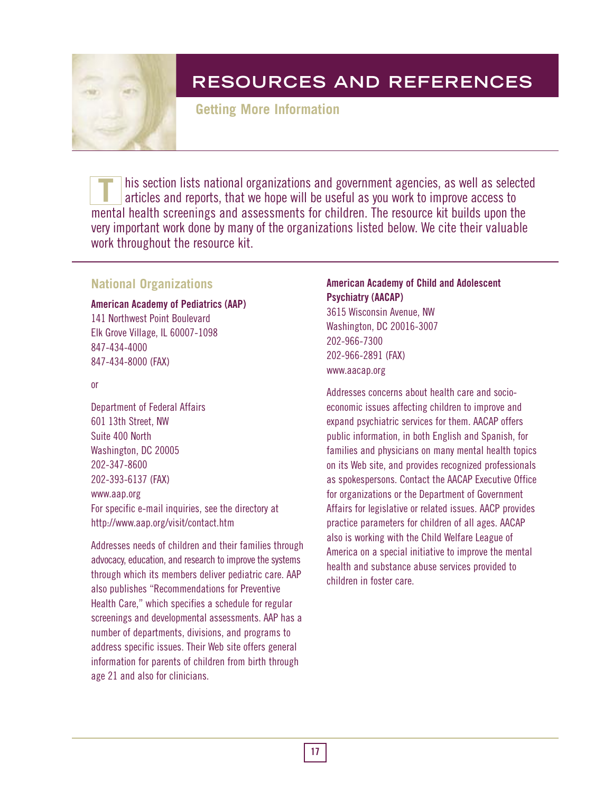

**Getting More Information**

his section lists national organizations and government agencies, as well as selected articles and reports, that we hope will be useful as you work to improve access to mental health screenings and assessments for children. The resource kit builds upon the very important work done by many of the organizations listed below. We cite their valuable work throughout the resource kit. **T**

## **National Organizations**

#### **American Academy of Pediatrics (AAP)**

141 Northwest Point Boulevard Elk Grove Village, IL 60007-1098 847-434-4000 847-434-8000 (FAX)

or

Department of Federal Affairs 601 13th Street, NW Suite 400 North Washington, DC 20005 202-347-8600 202-393-6137 (FAX)

#### www.aap.org

For specific e-mail inquiries, see the directory at http://www.aap.org/visit/contact.htm

Addresses needs of children and their families through advocacy, education, and research to improve the systems through which its members deliver pediatric care. AAP also publishes "Recommendations for Preventive Health Care," which specifies a schedule for regular screenings and developmental assessments. AAP has a number of departments, divisions, and programs to address specific issues. Their Web site offers general information for parents of children from birth through age 21 and also for clinicians.

### **American Academy of Child and Adolescent Psychiatry (AACAP)**

3615 Wisconsin Avenue, NW Washington, DC 20016-3007 202-966-7300 202-966-2891 (FAX) www.aacap.org

Addresses concerns about health care and socioeconomic issues affecting children to improve and expand psychiatric services for them. AACAP offers public information, in both English and Spanish, for families and physicians on many mental health topics on its Web site, and provides recognized professionals as spokespersons. Contact the AACAP Executive Office for organizations or the Department of Government Affairs for legislative or related issues. AACP provides practice parameters for children of all ages. AACAP also is working with the Child Welfare League of America on a special initiative to improve the mental health and substance abuse services provided to children in foster care.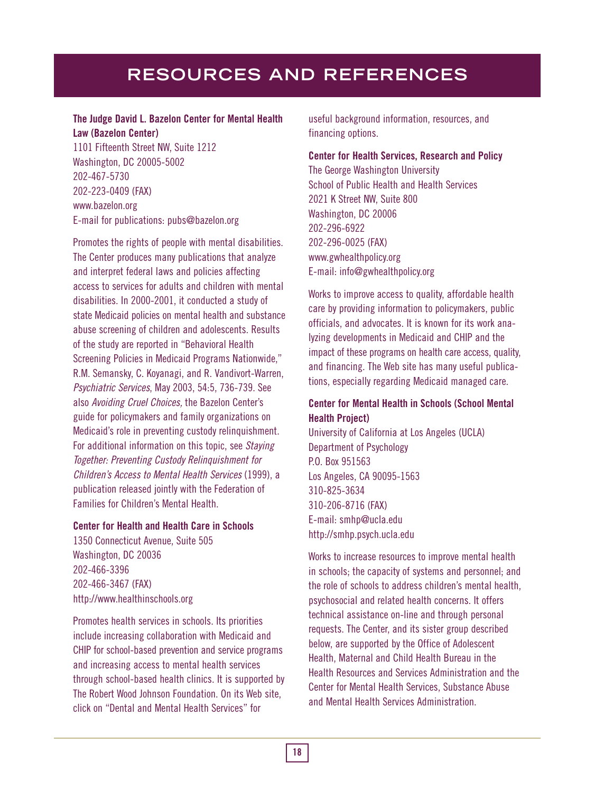### **The Judge David L. Bazelon Center for Mental Health Law (Bazelon Center)**

1101 Fifteenth Street NW, Suite 1212 Washington, DC 20005-5002 202-467-5730 202-223-0409 (FAX) www.bazelon.org E-mail for publications: pubs@bazelon.org

Promotes the rights of people with mental disabilities. The Center produces many publications that analyze and interpret federal laws and policies affecting access to services for adults and children with mental disabilities. In 2000-2001, it conducted a study of state Medicaid policies on mental health and substance abuse screening of children and adolescents. Results of the study are reported in "Behavioral Health Screening Policies in Medicaid Programs Nationwide," R.M. Semansky, C. Koyanagi, and R. Vandivort-Warren, Psychiatric Services, May 2003, 54:5, 736-739. See also Avoiding Cruel Choices, the Bazelon Center's guide for policymakers and family organizations on Medicaid's role in preventing custody relinquishment. For additional information on this topic, see Staying Together: Preventing Custody Relinquishment for Children's Access to Mental Health Services (1999), a publication released jointly with the Federation of Families for Children's Mental Health.

### **Center for Health and Health Care in Schools**

1350 Connecticut Avenue, Suite 505 Washington, DC 20036 202-466-3396 202-466-3467 (FAX) http://www.healthinschools.org

Promotes health services in schools. Its priorities include increasing collaboration with Medicaid and CHIP for school-based prevention and service programs and increasing access to mental health services through school-based health clinics. It is supported by The Robert Wood Johnson Foundation. On its Web site, click on "Dental and Mental Health Services" for

useful background information, resources, and financing options.

**Center for Health Services, Research and Policy** The George Washington University School of Public Health and Health Services 2021 K Street NW, Suite 800 Washington, DC 20006 202-296-6922 202-296-0025 (FAX) www.gwhealthpolicy.org E-mail: info@gwhealthpolicy.org

Works to improve access to quality, affordable health care by providing information to policymakers, public officials, and advocates. It is known for its work analyzing developments in Medicaid and CHIP and the impact of these programs on health care access, quality, and financing. The Web site has many useful publications, especially regarding Medicaid managed care.

### **Center for Mental Health in Schools (School Mental Health Project)**

University of California at Los Angeles (UCLA) Department of Psychology P.O. Box 951563 Los Angeles, CA 90095-1563 310-825-3634 310-206-8716 (FAX) E-mail: smhp@ucla.edu http://smhp.psych.ucla.edu

Works to increase resources to improve mental health in schools; the capacity of systems and personnel; and the role of schools to address children's mental health, psychosocial and related health concerns. It offers technical assistance on-line and through personal requests. The Center, and its sister group described below, are supported by the Office of Adolescent Health, Maternal and Child Health Bureau in the Health Resources and Services Administration and the Center for Mental Health Services, Substance Abuse and Mental Health Services Administration.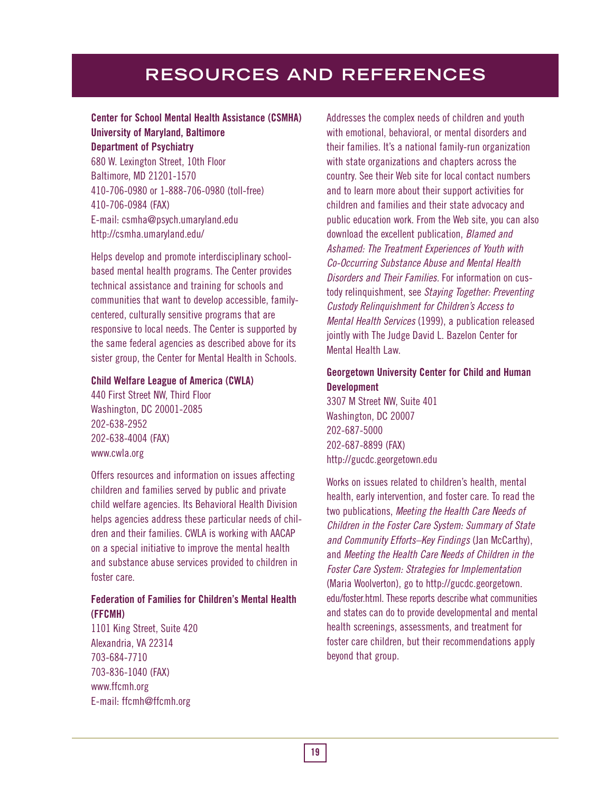### **Center for School Mental Health Assistance (CSMHA) University of Maryland, Baltimore Department of Psychiatry**

680 W. Lexington Street, 10th Floor Baltimore, MD 21201-1570 410-706-0980 or 1-888-706-0980 (toll-free) 410-706-0984 (FAX) E-mail: csmha@psych.umaryland.edu http://csmha.umaryland.edu/

Helps develop and promote interdisciplinary schoolbased mental health programs. The Center provides technical assistance and training for schools and communities that want to develop accessible, familycentered, culturally sensitive programs that are responsive to local needs. The Center is supported by the same federal agencies as described above for its sister group, the Center for Mental Health in Schools.

#### **Child Welfare League of America (CWLA)**

440 First Street NW, Third Floor Washington, DC 20001-2085 202-638-2952 202-638-4004 (FAX) www.cwla.org

Offers resources and information on issues affecting children and families served by public and private child welfare agencies. Its Behavioral Health Division helps agencies address these particular needs of children and their families. CWLA is working with AACAP on a special initiative to improve the mental health and substance abuse services provided to children in foster care.

### **Federation of Families for Children's Mental Health (FFCMH)**

1101 King Street, Suite 420 Alexandria, VA 22314 703-684-7710 703-836-1040 (FAX) www.ffcmh.org E-mail: ffcmh@ffcmh.org

Addresses the complex needs of children and youth with emotional, behavioral, or mental disorders and their families. It's a national family-run organization with state organizations and chapters across the country. See their Web site for local contact numbers and to learn more about their support activities for children and families and their state advocacy and public education work. From the Web site, you can also download the excellent publication, **Blamed and** Ashamed: The Treatment Experiences of Youth with Co-Occurring Substance Abuse and Mental Health Disorders and Their Families. For information on custody relinquishment, see Staying Together: Preventing Custody Relinquishment for Children's Access to Mental Health Services (1999), a publication released jointly with The Judge David L. Bazelon Center for Mental Health Law.

### **Georgetown University Center for Child and Human Development**

3307 M Street NW, Suite 401 Washington, DC 20007 202-687-5000 202-687-8899 (FAX) http://gucdc.georgetown.edu

Works on issues related to children's health, mental health, early intervention, and foster care. To read the two publications, Meeting the Health Care Needs of Children in the Foster Care System: Summary of State and Community Efforts–Key Findings (Jan McCarthy), and Meeting the Health Care Needs of Children in the Foster Care System: Strategies for Implementation (Maria Woolverton), go to http://gucdc.georgetown. edu/foster.html. These reports describe what communities and states can do to provide developmental and mental health screenings, assessments, and treatment for foster care children, but their recommendations apply beyond that group.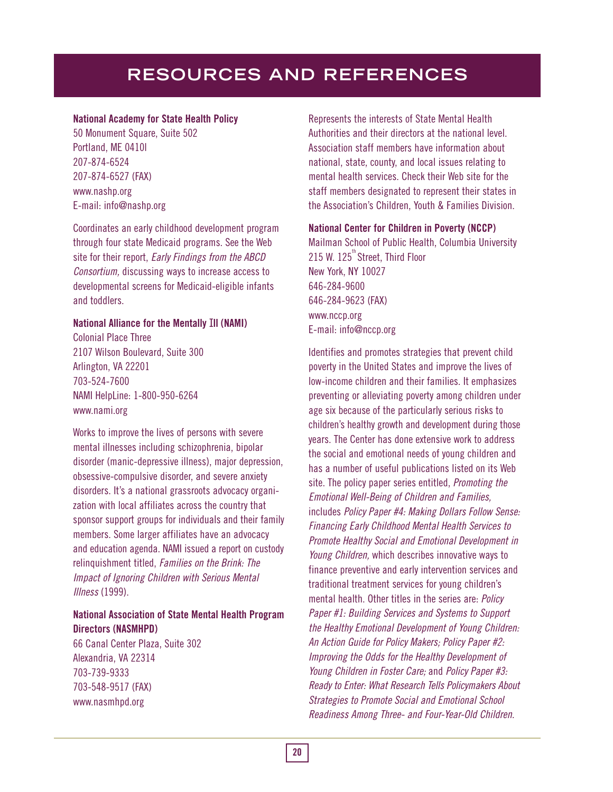### **National Academy for State Health Policy**

50 Monument Square, Suite 502 Portland, ME 0410l 207-874-6524 207-874-6527 (FAX) www.nashp.org E-mail: info@nashp.org

Coordinates an early childhood development program through four state Medicaid programs. See the Web site for their report, *Early Findings from the ABCD* Consortium, discussing ways to increase access to developmental screens for Medicaid-eligible infants and toddlers.

#### **National Alliance for the Mentally** I**ll (NAMI)**

Colonial Place Three 2107 Wilson Boulevard, Suite 300 Arlington, VA 22201 703-524-7600 NAMI HelpLine: 1-800-950-6264 www.nami.org

Works to improve the lives of persons with severe mental illnesses including schizophrenia, bipolar disorder (manic-depressive illness), major depression, obsessive-compulsive disorder, and severe anxiety disorders. It's a national grassroots advocacy organization with local affiliates across the country that sponsor support groups for individuals and their family members. Some larger affiliates have an advocacy and education agenda. NAMI issued a report on custody relinquishment titled, Families on the Brink: The Impact of Ignoring Children with Serious Mental Illness (1999).

### **National Association of State Mental Health Program Directors (NASMHPD)**

66 Canal Center Plaza, Suite 302 Alexandria, VA 22314 703-739-9333 703-548-9517 (FAX) www.nasmhpd.org

Represents the interests of State Mental Health Authorities and their directors at the national level. Association staff members have information about national, state, county, and local issues relating to mental health services. Check their Web site for the staff members designated to represent their states in the Association's Children, Youth & Families Division.

#### **National Center for Children in Poverty (NCCP)**

Mailman School of Public Health, Columbia University  $215$  W.  $125$ <sup>"</sup> Street, Third Floor New York, NY 10027 646-284-9600 646-284-9623 (FAX) www.nccp.org E-mail: info@nccp.org

Identifies and promotes strategies that prevent child poverty in the United States and improve the lives of low-income children and their families. It emphasizes preventing or alleviating poverty among children under age six because of the particularly serious risks to children's healthy growth and development during those years. The Center has done extensive work to address the social and emotional needs of young children and has a number of useful publications listed on its Web site. The policy paper series entitled, Promoting the Emotional Well-Being of Children and Families, includes Policy Paper #4: Making Dollars Follow Sense: Financing Early Childhood Mental Health Services to Promote Healthy Social and Emotional Development in Young Children, which describes innovative ways to finance preventive and early intervention services and traditional treatment services for young children's mental health. Other titles in the series are: Policy Paper #1: Building Services and Systems to Support the Healthy Emotional Development of Young Children: An Action Guide for Policy Makers; Policy Paper #2: Improving the Odds for the Healthy Development of Young Children in Foster Care; and Policy Paper #3: Ready to Enter: What Research Tells Policymakers About Strategies to Promote Social and Emotional School Readiness Among Three- and Four-Year-Old Children.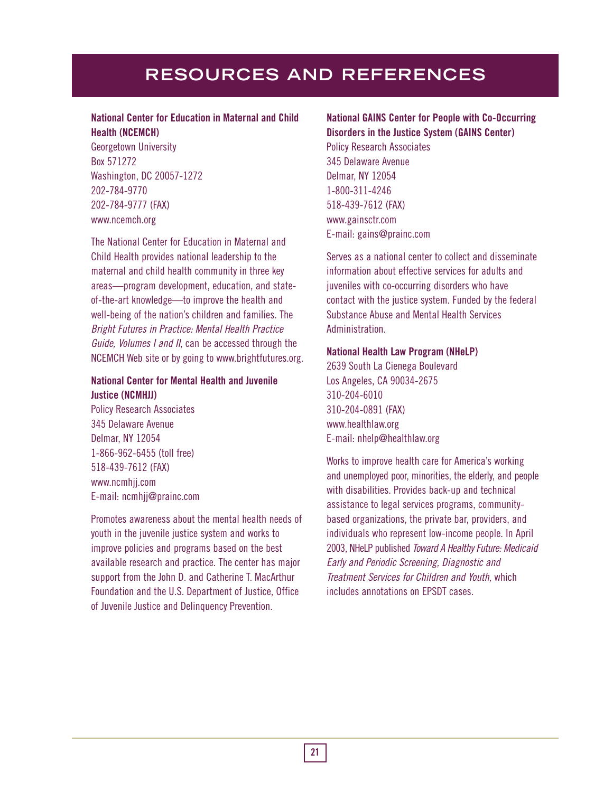### **National Center for Education in Maternal and Child Health (NCEMCH)**

Georgetown University Box 571272 Washington, DC 20057-1272 202-784-9770 202-784-9777 (FAX) www.ncemch.org

The National Center for Education in Maternal and Child Health provides national leadership to the maternal and child health community in three key areas—program development, education, and stateof-the-art knowledge—to improve the health and well-being of the nation's children and families. The Bright Futures in Practice: Mental Health Practice Guide, Volumes I and II, can be accessed through the NCEMCH Web site or by going to www.brightfutures.org.

### **National Center for Mental Health and Juvenile Justice (NCMHJJ)**

Policy Research Associates 345 Delaware Avenue Delmar, NY 12054 1-866-962-6455 (toll free) 518-439-7612 (FAX) www.ncmhjj.com E-mail: ncmhjj@prainc.com

Promotes awareness about the mental health needs of youth in the juvenile justice system and works to improve policies and programs based on the best available research and practice. The center has major support from the John D. and Catherine T. MacArthur Foundation and the U.S. Department of Justice, Office of Juvenile Justice and Delinquency Prevention.

### **National GAINS Center for People with Co-Occurring Disorders in the Justice System (GAINS Center)**

Policy Research Associates 345 Delaware Avenue Delmar, NY 12054 1-800-311-4246 518-439-7612 (FAX) www.gainsctr.com E-mail: gains@prainc.com

Serves as a national center to collect and disseminate information about effective services for adults and juveniles with co-occurring disorders who have contact with the justice system. Funded by the federal Substance Abuse and Mental Health Services Administration.

#### **National Health Law Program (NHeLP)**

2639 South La Cienega Boulevard Los Angeles, CA 90034-2675 310-204-6010 310-204-0891 (FAX) www.healthlaw.org E-mail: nhelp@healthlaw.org

Works to improve health care for America's working and unemployed poor, minorities, the elderly, and people with disabilities. Provides back-up and technical assistance to legal services programs, communitybased organizations, the private bar, providers, and individuals who represent low-income people. In April 2003, NHeLP published Toward A Healthy Future: Medicaid Early and Periodic Screening, Diagnostic and Treatment Services for Children and Youth, which includes annotations on EPSDT cases.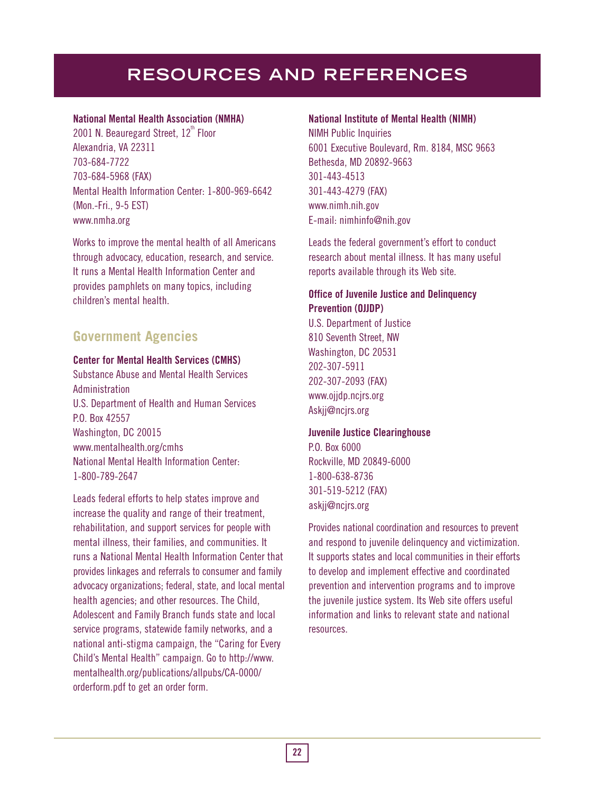### **National Mental Health Association (NMHA)**

2001 N. Beauregard Street,  $12<sup>th</sup>$  Floor Alexandria, VA 22311 703-684-7722 703-684-5968 (FAX) Mental Health Information Center: 1-800-969-6642 (Mon.-Fri., 9-5 EST) www.nmha.org

Works to improve the mental health of all Americans through advocacy, education, research, and service. It runs a Mental Health Information Center and provides pamphlets on many topics, including children's mental health.

## **Government Agencies**

#### **Center for Mental Health Services (CMHS)**

Substance Abuse and Mental Health Services Administration U.S. Department of Health and Human Services P.O. Box 42557 Washington, DC 20015 www.mentalhealth.org/cmhs National Mental Health Information Center: 1-800-789-2647

Leads federal efforts to help states improve and increase the quality and range of their treatment, rehabilitation, and support services for people with mental illness, their families, and communities. It runs a National Mental Health Information Center that provides linkages and referrals to consumer and family advocacy organizations; federal, state, and local mental health agencies; and other resources. The Child, Adolescent and Family Branch funds state and local service programs, statewide family networks, and a national anti-stigma campaign, the "Caring for Every Child's Mental Health" campaign. Go to http://www. mentalhealth.org/publications/allpubs/CA-0000/ orderform.pdf to get an order form.

### **National Institute of Mental Health (NIMH)**

NIMH Public Inquiries 6001 Executive Boulevard, Rm. 8184, MSC 9663 Bethesda, MD 20892-9663 301-443-4513 301-443-4279 (FAX) www.nimh.nih.gov E-mail: nimhinfo@nih.gov

Leads the federal government's effort to conduct research about mental illness. It has many useful reports available through its Web site.

### **Office of Juvenile Justice and Delinquency Prevention (OJJDP)**

U.S. Department of Justice 810 Seventh Street, NW Washington, DC 20531 202-307-5911 202-307-2093 (FAX) www.ojjdp.ncjrs.org Askjj@ncjrs.org

### **Juvenile Justice Clearinghouse**

P.O. Box 6000 Rockville, MD 20849-6000 1-800-638-8736 301-519-5212 (FAX) askjj@ncjrs.org

Provides national coordination and resources to prevent and respond to juvenile delinquency and victimization. It supports states and local communities in their efforts to develop and implement effective and coordinated prevention and intervention programs and to improve the juvenile justice system. Its Web site offers useful information and links to relevant state and national resources.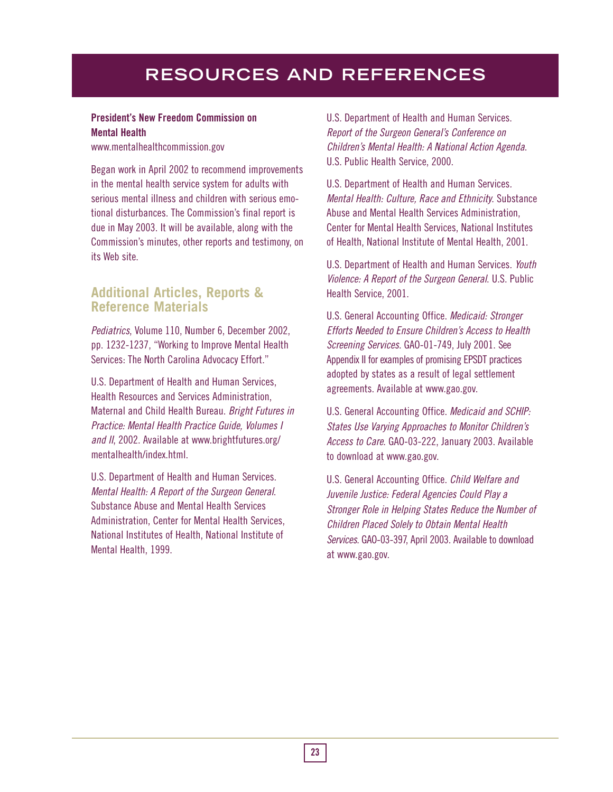### **President's New Freedom Commission on Mental Health**

www.mentalhealthcommission.gov

Began work in April 2002 to recommend improvements in the mental health service system for adults with serious mental illness and children with serious emotional disturbances. The Commission's final report is due in May 2003. It will be available, along with the Commission's minutes, other reports and testimony, on its Web site.

## **Additional Articles, Reports & Reference Materials**

Pediatrics, Volume 110, Number 6, December 2002, pp. 1232-1237, "Working to Improve Mental Health Services: The North Carolina Advocacy Effort."

U.S. Department of Health and Human Services, Health Resources and Services Administration, Maternal and Child Health Bureau. Bright Futures in Practice: Mental Health Practice Guide, Volumes I and II, 2002. Available at www.brightfutures.org/ mentalhealth/index.html.

U.S. Department of Health and Human Services. Mental Health: A Report of the Surgeon General. Substance Abuse and Mental Health Services Administration, Center for Mental Health Services, National Institutes of Health, National Institute of Mental Health, 1999.

U.S. Department of Health and Human Services. Report of the Surgeon General's Conference on Children's Mental Health: A National Action Agenda. U.S. Public Health Service, 2000.

U.S. Department of Health and Human Services. Mental Health: Culture, Race and Ethnicity. Substance Abuse and Mental Health Services Administration, Center for Mental Health Services, National Institutes of Health, National Institute of Mental Health, 2001.

U.S. Department of Health and Human Services. Youth Violence: A Report of the Surgeon General. U.S. Public Health Service, 2001.

U.S. General Accounting Office. Medicaid: Stronger Efforts Needed to Ensure Children's Access to Health Screening Services. GAO-01-749, July 2001. See Appendix II for examples of promising EPSDT practices adopted by states as a result of legal settlement agreements. Available at www.gao.gov.

U.S. General Accounting Office. Medicaid and SCHIP: States Use Varying Approaches to Monitor Children's Access to Care. GAO-03-222, January 2003. Available to download at www.gao.gov.

U.S. General Accounting Office. Child Welfare and Juvenile Justice: Federal Agencies Could Play a Stronger Role in Helping States Reduce the Number of Children Placed Solely to Obtain Mental Health Services. GAO-03-397, April 2003. Available to download at www.gao.gov.